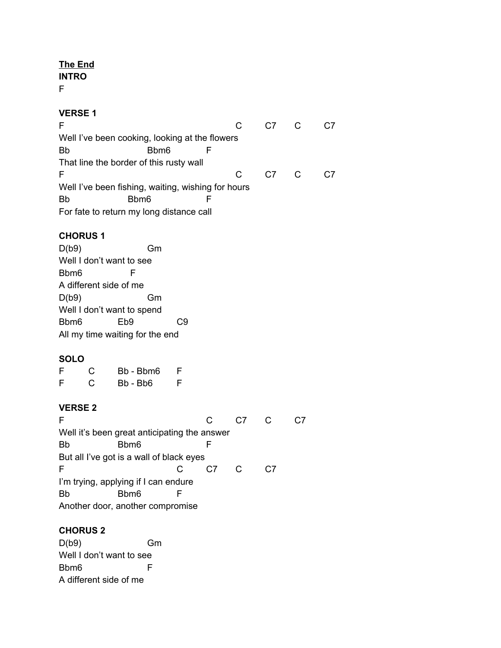# **The End**

**INTRO**

F

#### **VERSE 1**

| F                                                  |      |    | C.7            |  |  |  |  |  |
|----------------------------------------------------|------|----|----------------|--|--|--|--|--|
| Well I've been cooking, looking at the flowers     |      |    |                |  |  |  |  |  |
| <b>Bb</b>                                          | Bbm6 |    |                |  |  |  |  |  |
| That line the border of this rusty wall            |      |    |                |  |  |  |  |  |
| F                                                  |      | C. | C <sub>7</sub> |  |  |  |  |  |
| Well I've been fishing, waiting, wishing for hours |      |    |                |  |  |  |  |  |
| <b>Bb</b>                                          | Bbm6 |    |                |  |  |  |  |  |
| For fate to return my long distance call           |      |    |                |  |  |  |  |  |

## **CHORUS 1**

D(b9) Gm Well I don't want to see Bbm6 F A different side of me D(b9) Gm Well I don't want to spend Bbm6 Eb9 C9 All my time waiting for the end

## **SOLO**

| F | C | Bb - Bbm6 | F. |
|---|---|-----------|----|
| F | С | Bb - Bb6  | F. |

#### **VERSE 2**

| F                                            |  |  |  |  |  |  |  |  |
|----------------------------------------------|--|--|--|--|--|--|--|--|
| Well it's been great anticipating the answer |  |  |  |  |  |  |  |  |
| <b>Bb</b><br>Bbm6                            |  |  |  |  |  |  |  |  |
| But all I've got is a wall of black eyes     |  |  |  |  |  |  |  |  |
| F                                            |  |  |  |  |  |  |  |  |
| I'm trying, applying if I can endure         |  |  |  |  |  |  |  |  |
| <b>Bb</b><br>Bbm6                            |  |  |  |  |  |  |  |  |
| Another door, another compromise             |  |  |  |  |  |  |  |  |

# **CHORUS 2**

D(b9) Gm Well I don't want to see Bbm6 F A different side of me